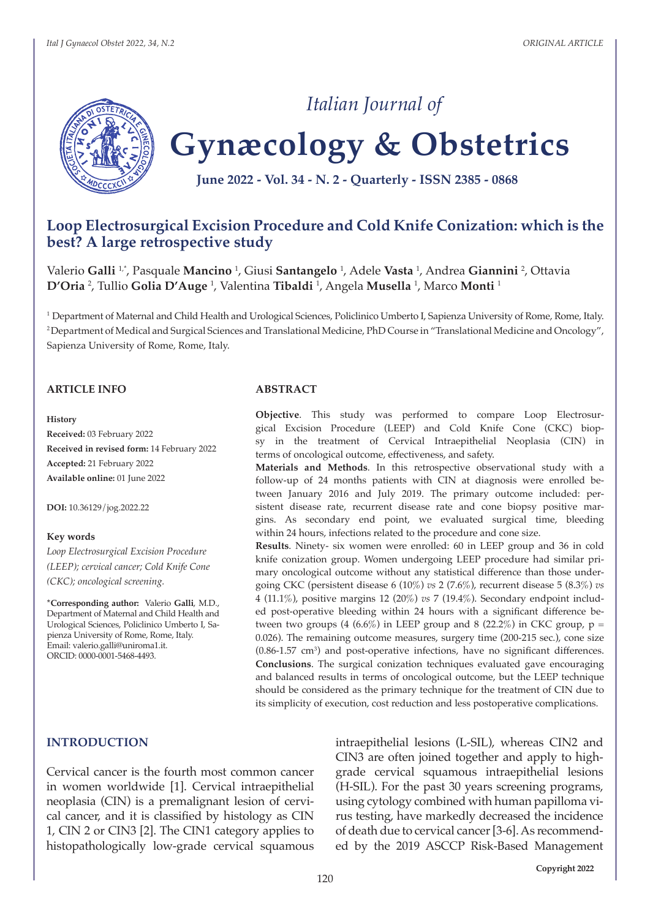

# *Italian Journal of*

# **Gynæcology & Obstetrics**

**June 2022 - Vol. 34 - N. 2 - Quarterly - ISSN 2385 - 0868**

# **Loop Electrosurgical Excision Procedure and Cold Knife Conization: which is the best? A large retrospective study**

Valerio **Galli** 1,\*, Pasquale **Mancino** <sup>1</sup> , Giusi **Santangelo** <sup>1</sup> , Adele **Vasta** <sup>1</sup> , Andrea **Giannini** <sup>2</sup> , Ottavia **D'Oria** <sup>2</sup> , Tullio **Golia D'Auge** <sup>1</sup> , Valentina **Tibaldi** <sup>1</sup> , Angela **Musella** <sup>1</sup> , Marco **Monti** <sup>1</sup>

<sup>1</sup> Department of Maternal and Child Health and Urological Sciences, Policlinico Umberto I, Sapienza University of Rome, Rome, Italy. <sup>2</sup>Department of Medical and Surgical Sciences and Translational Medicine, PhD Course in "Translational Medicine and Oncology", Sapienza University of Rome, Rome, Italy.

#### **ARTICLE INFO**

#### **History**

**Received:** 03 February 2022 **Received in revised form:** 14 February 2022 **Accepted:** 21 February 2022 **Available online:** 01 June 2022

**DOI:** 10.36129/jog.2022.22

#### **Key words**

*Loop Electrosurgical Excision Procedure (LEEP); cervical cancer; Cold Knife Cone (CKC); oncological screening.*

**\*Corresponding author:** Valerio **Galli**, M.D., Department of Maternal and Child Health and Urological Sciences, Policlinico Umberto I, Sapienza University of Rome, Rome, Italy. Email: valerio.galli@uniroma1.it. ORCID: 0000-0001-5468-4493.

#### **ABSTRACT**

**Objective**. This study was performed to compare Loop Electrosurgical Excision Procedure (LEEP) and Cold Knife Cone (CKC) biopsy in the treatment of Cervical Intraepithelial Neoplasia (CIN) in terms of oncological outcome, effectiveness, and safety.

**Materials and Methods**. In this retrospective observational study with a follow-up of 24 months patients with CIN at diagnosis were enrolled between January 2016 and July 2019. The primary outcome included: persistent disease rate, recurrent disease rate and cone biopsy positive margins. As secondary end point, we evaluated surgical time, bleeding within 24 hours, infections related to the procedure and cone size.

**Results**. Ninety- six women were enrolled: 60 in LEEP group and 36 in cold knife conization group. Women undergoing LEEP procedure had similar primary oncological outcome without any statistical difference than those undergoing CKC (persistent disease 6 (10%) *vs* 2 (7.6%), recurrent disease 5 (8.3%) *vs* 4 (11.1%), positive margins 12 (20%) *vs* 7 (19.4%). Secondary endpoint included post-operative bleeding within 24 hours with a significant difference between two groups (4 (6.6%) in LEEP group and 8 (22.2%) in CKC group,  $p =$ 0.026). The remaining outcome measures, surgery time (200-215 sec.), cone size  $(0.86-1.57 \text{ cm}^3)$  and post-operative infections, have no significant differences. **Conclusions**. The surgical conization techniques evaluated gave encouraging and balanced results in terms of oncological outcome, but the LEEP technique should be considered as the primary technique for the treatment of CIN due to its simplicity of execution, cost reduction and less postoperative complications.

#### **INTRODUCTION**

Cervical cancer is the fourth most common cancer in women worldwide [1]. Cervical intraepithelial neoplasia (CIN) is a premalignant lesion of cervical cancer, and it is classified by histology as CIN 1, CIN 2 or CIN3 [2]. The CIN1 category applies to histopathologically low-grade cervical squamous

intraepithelial lesions (L-SIL), whereas CIN2 and CIN3 are often joined together and apply to highgrade cervical squamous intraepithelial lesions (H-SIL). For the past 30 years screening programs, using cytology combined with human papilloma virus testing, have markedly decreased the incidence of death due to cervical cancer [3-6]. As recommended by the 2019 ASCCP Risk-Based Management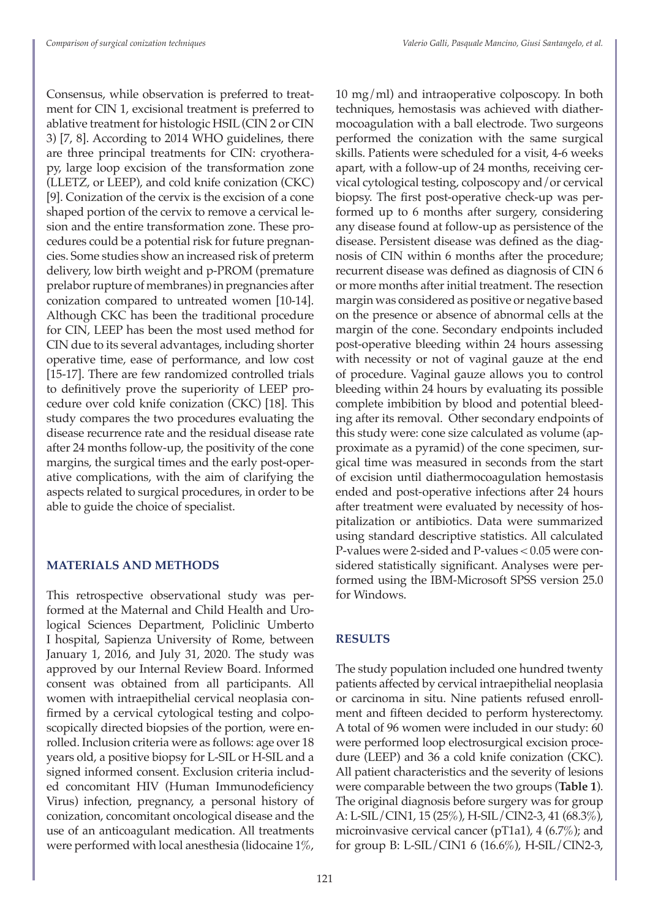Consensus, while observation is preferred to treatment for CIN 1, excisional treatment is preferred to ablative treatment for histologic HSIL (CIN 2 or CIN 3) [7, 8]. According to 2014 WHO guidelines, there are three principal treatments for CIN: cryotherapy, large loop excision of the transformation zone (LLETZ, or LEEP), and cold knife conization (CKC) [9]. Conization of the cervix is the excision of a cone shaped portion of the cervix to remove a cervical lesion and the entire transformation zone. These procedures could be a potential risk for future pregnancies. Some studies show an increased risk of preterm delivery, low birth weight and p-PROM (premature prelabor rupture of membranes) in pregnancies after conization compared to untreated women [10-14]. Although CKC has been the traditional procedure for CIN, LEEP has been the most used method for CIN due to its several advantages, including shorter operative time, ease of performance, and low cost [15-17]. There are few randomized controlled trials to definitively prove the superiority of LEEP procedure over cold knife conization (CKC) [18]. This study compares the two procedures evaluating the disease recurrence rate and the residual disease rate after 24 months follow-up, the positivity of the cone margins, the surgical times and the early post-operative complications, with the aim of clarifying the aspects related to surgical procedures, in order to be able to guide the choice of specialist.

## **MATERIALS AND METHODS**

This retrospective observational study was performed at the Maternal and Child Health and Urological Sciences Department, Policlinic Umberto I hospital, Sapienza University of Rome, between January 1, 2016, and July 31, 2020. The study was approved by our Internal Review Board. Informed consent was obtained from all participants. All women with intraepithelial cervical neoplasia confirmed by a cervical cytological testing and colposcopically directed biopsies of the portion, were enrolled. Inclusion criteria were as follows: age over 18 years old, a positive biopsy for L-SIL or H-SIL and a signed informed consent. Exclusion criteria included concomitant HIV (Human Immunodeficiency Virus) infection, pregnancy, a personal history of conization, concomitant oncological disease and the use of an anticoagulant medication. All treatments were performed with local anesthesia (lidocaine 1%,

10 mg/ml) and intraoperative colposcopy. In both techniques, hemostasis was achieved with diathermocoagulation with a ball electrode. Two surgeons performed the conization with the same surgical skills. Patients were scheduled for a visit, 4-6 weeks apart, with a follow-up of 24 months, receiving cervical cytological testing, colposcopy and/or cervical biopsy. The first post-operative check-up was performed up to 6 months after surgery, considering any disease found at follow-up as persistence of the disease. Persistent disease was defined as the diagnosis of CIN within 6 months after the procedure; recurrent disease was defined as diagnosis of CIN 6 or more months after initial treatment. The resection margin was considered as positive or negative based on the presence or absence of abnormal cells at the margin of the cone. Secondary endpoints included post-operative bleeding within 24 hours assessing with necessity or not of vaginal gauze at the end of procedure. Vaginal gauze allows you to control bleeding within 24 hours by evaluating its possible complete imbibition by blood and potential bleeding after its removal. Other secondary endpoints of this study were: cone size calculated as volume (approximate as a pyramid) of the cone specimen, surgical time was measured in seconds from the start of excision until diathermocoagulation hemostasis ended and post-operative infections after 24 hours after treatment were evaluated by necessity of hospitalization or antibiotics. Data were summarized using standard descriptive statistics. All calculated P-values were 2-sided and P-values < 0.05 were considered statistically significant. Analyses were performed using the IBM-Microsoft SPSS version 25.0 for Windows.

# **RESULTS**

The study population included one hundred twenty patients affected by cervical intraepithelial neoplasia or carcinoma in situ. Nine patients refused enrollment and fifteen decided to perform hysterectomy. A total of 96 women were included in our study: 60 were performed loop electrosurgical excision procedure (LEEP) and 36 a cold knife conization (CKC). All patient characteristics and the severity of lesions were comparable between the two groups (**Table 1**). The original diagnosis before surgery was for group A: L-SIL/CIN1, 15 (25%), H-SIL/CIN2-3, 41 (68.3%), microinvasive cervical cancer (pT1a1), 4 (6.7%); and for group B: L-SIL/CIN1 6 (16.6%), H-SIL/CIN2-3,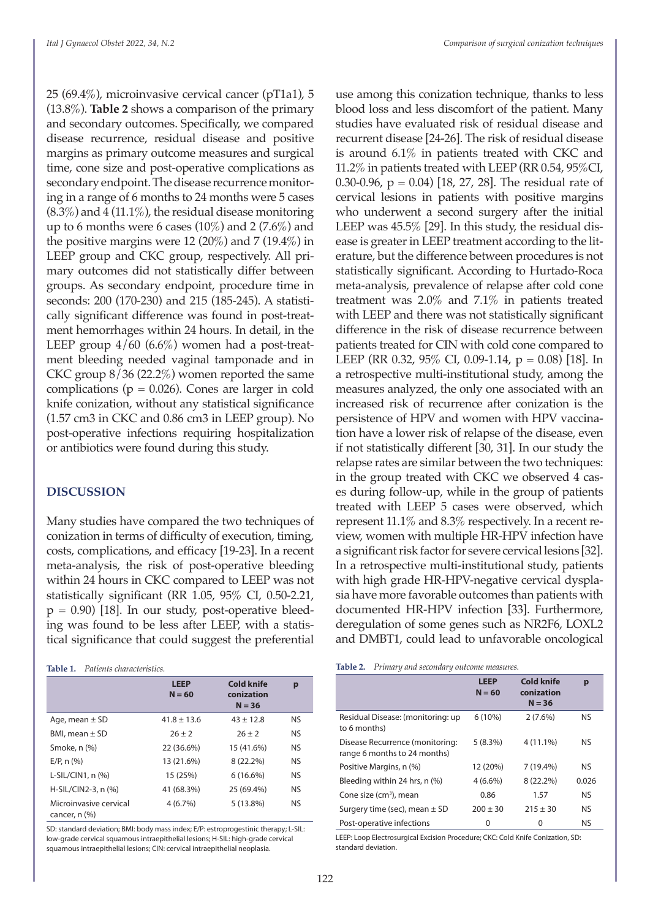25 (69.4%), microinvasive cervical cancer (pT1a1), 5 (13.8%). **Table 2** shows a comparison of the primary and secondary outcomes. Specifically, we compared disease recurrence, residual disease and positive margins as primary outcome measures and surgical time, cone size and post-operative complications as secondary endpoint. The disease recurrence monitoring in a range of 6 months to 24 months were 5 cases  $(8.3\%)$  and  $4(11.1\%)$ , the residual disease monitoring up to 6 months were 6 cases  $(10\%)$  and 2  $(7.6\%)$  and the positive margins were 12 (20%) and 7 (19.4%) in LEEP group and CKC group, respectively. All primary outcomes did not statistically differ between groups. As secondary endpoint, procedure time in seconds: 200 (170-230) and 215 (185-245). A statistically significant difference was found in post-treatment hemorrhages within 24 hours. In detail, in the LEEP group  $4/60$  (6.6%) women had a post-treatment bleeding needed vaginal tamponade and in CKC group 8/36 (22.2%) women reported the same complications ( $p = 0.026$ ). Cones are larger in cold knife conization, without any statistical significance (1.57 cm3 in CKC and 0.86 cm3 in LEEP group). No post-operative infections requiring hospitalization or antibiotics were found during this study.

#### **DISCUSSION**

Many studies have compared the two techniques of conization in terms of difficulty of execution, timing, costs, complications, and efficacy [19-23]. In a recent meta-analysis, the risk of post-operative bleeding within 24 hours in CKC compared to LEEP was not statistically significant (RR 1.05, 95% CI, 0.50-2.21,  $p = 0.90$  [18]. In our study, post-operative bleeding was found to be less after LEEP, with a statistical significance that could suggest the preferential

#### **Table 1.** *Patients characteristics.*

|                                              | <b>LEEP</b><br>$N = 60$ | Cold knife<br>conization<br>$N = 36$ | p         |
|----------------------------------------------|-------------------------|--------------------------------------|-----------|
| Age, mean $\pm$ SD                           | $41.8 \pm 13.6$         | $43 \pm 12.8$                        | NS.       |
| BMI, mean $\pm$ SD                           | $26 + 2$                | $26 + 2$                             | NS.       |
| Smoke, n (%)                                 | 22 (36.6%)              | 15 (41.6%)                           | <b>NS</b> |
| $E/P$ , n $(%)$                              | 13 (21.6%)              | 8 (22.2%)                            | NS.       |
| L-SIL/CIN1, $n$ $(\%)$                       | 15 (25%)                | $6(16.6\%)$                          | NS.       |
| $H-SIL/CIN2-3, n$ (%)                        | 41 (68.3%)              | 25 (69.4%)                           | <b>NS</b> |
| Microinvasive cervical<br>cancer, $n$ $(\%)$ | 4(6.7%)                 | $5(13.8\%)$                          | NS.       |

SD: standard deviation; BMI: body mass index; E/P: estroprogestinic therapy; L-SIL: low-grade cervical squamous intraepithelial lesions; H-SIL: high-grade cervical squamous intraepithelial lesions; CIN: cervical intraepithelial neoplasia.

use among this conization technique, thanks to less blood loss and less discomfort of the patient. Many studies have evaluated risk of residual disease and recurrent disease [24-26]. The risk of residual disease is around 6.1% in patients treated with CKC and 11.2% in patients treated with LEEP (RR 0.54, 95%CI, 0.30-0.96,  $p = 0.04$  [18, 27, 28]. The residual rate of cervical lesions in patients with positive margins who underwent a second surgery after the initial LEEP was 45.5% [29]. In this study, the residual disease is greater in LEEP treatment according to the literature, but the difference between procedures is not statistically significant. According to Hurtado-Roca meta-analysis, prevalence of relapse after cold cone treatment was 2.0% and 7.1% in patients treated with LEEP and there was not statistically significant difference in the risk of disease recurrence between patients treated for CIN with cold cone compared to LEEP (RR 0.32, 95% CI, 0.09-1.14,  $p = 0.08$ ) [18]. In a retrospective multi-institutional study, among the measures analyzed, the only one associated with an increased risk of recurrence after conization is the persistence of HPV and women with HPV vaccination have a lower risk of relapse of the disease, even if not statistically different [30, 31]. In our study the relapse rates are similar between the two techniques: in the group treated with CKC we observed 4 cases during follow-up, while in the group of patients treated with LEEP 5 cases were observed, which represent 11.1% and 8.3% respectively. In a recent review, women with multiple HR-HPV infection have a significant risk factor for severe cervical lesions [32]. In a retrospective multi-institutional study, patients with high grade HR-HPV-negative cervical dysplasia have more favorable outcomes than patients with documented HR-HPV infection [33]. Furthermore, deregulation of some genes such as NR2F6, LOXL2 and DMBT1, could lead to unfavorable oncological

| Table 2. |  |  |  | Primary and secondary outcome measures. |  |
|----------|--|--|--|-----------------------------------------|--|
|----------|--|--|--|-----------------------------------------|--|

| $\cdot$                                                         |                         |                                             |           |
|-----------------------------------------------------------------|-------------------------|---------------------------------------------|-----------|
|                                                                 | <b>LEEP</b><br>$N = 60$ | <b>Cold knife</b><br>conization<br>$N = 36$ | p         |
| Residual Disease: (monitoring: up<br>to 6 months)               | $6(10\%)$               | $2(7.6\%)$                                  | NS        |
| Disease Recurrence (monitoring:<br>range 6 months to 24 months) | 5(8.3%)                 | $4(11.1\%)$                                 | NS        |
| Positive Margins, n (%)                                         | 12 (20%)                | $7(19.4\%)$                                 | NS        |
| Bleeding within 24 hrs, n (%)                                   | $4(6.6\%)$              | 8 (22.2%)                                   | 0.026     |
| Cone size (cm <sup>3</sup> ), mean                              | 0.86                    | 1.57                                        | <b>NS</b> |
| Surgery time (sec), mean $\pm$ SD                               | $200 \pm 30$            | $215 \pm 30$                                | NS        |
| Post-operative infections                                       | 0                       | 0                                           | NS        |

LEEP: Loop Electrosurgical Excision Procedure; CKC: Cold Knife Conization, SD: standard deviation.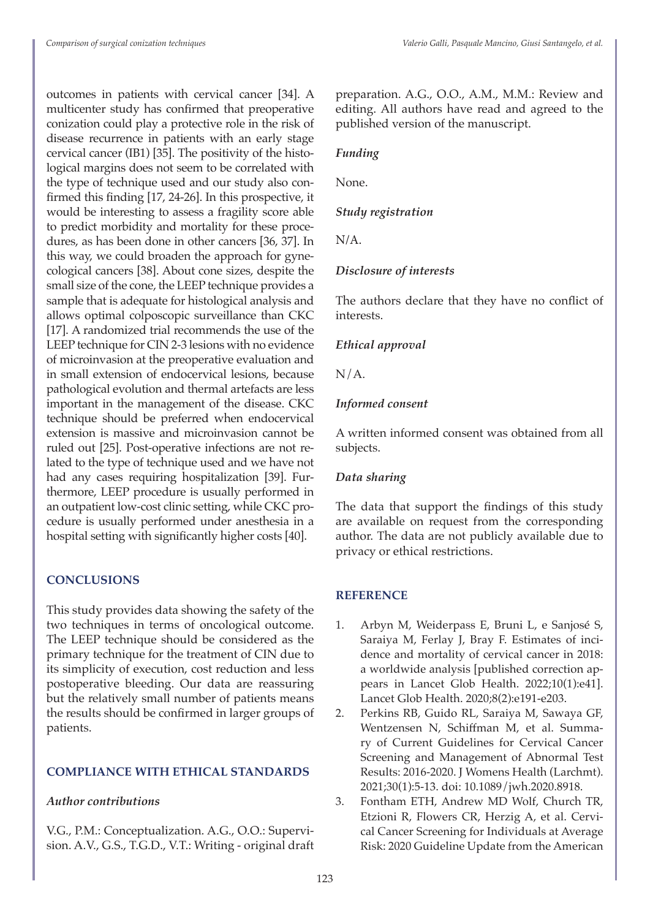outcomes in patients with cervical cancer [34]. A multicenter study has confirmed that preoperative conization could play a protective role in the risk of disease recurrence in patients with an early stage cervical cancer (IB1) [35]. The positivity of the histological margins does not seem to be correlated with the type of technique used and our study also confirmed this finding [17, 24-26]. In this prospective, it would be interesting to assess a fragility score able to predict morbidity and mortality for these procedures, as has been done in other cancers [36, 37]. In this way, we could broaden the approach for gynecological cancers [38]. About cone sizes, despite the small size of the cone, the LEEP technique provides a sample that is adequate for histological analysis and allows optimal colposcopic surveillance than CKC [17]. A randomized trial recommends the use of the LEEP technique for CIN 2-3 lesions with no evidence of microinvasion at the preoperative evaluation and in small extension of endocervical lesions, because pathological evolution and thermal artefacts are less important in the management of the disease. CKC technique should be preferred when endocervical extension is massive and microinvasion cannot be ruled out [25]. Post-operative infections are not related to the type of technique used and we have not had any cases requiring hospitalization [39]. Furthermore, LEEP procedure is usually performed in an outpatient low-cost clinic setting, while CKC procedure is usually performed under anesthesia in a hospital setting with significantly higher costs [40].

#### **CONCLUSIONS**

This study provides data showing the safety of the two techniques in terms of oncological outcome. The LEEP technique should be considered as the primary technique for the treatment of CIN due to its simplicity of execution, cost reduction and less postoperative bleeding. Our data are reassuring but the relatively small number of patients means the results should be confirmed in larger groups of patients.

#### **COMPLIANCE WITH ETHICAL STANDARDS**

#### *Author contributions*

V.G., P.M.: Conceptualization. A.G., O.O.: Supervision. A.V., G.S., T.G.D., V.T.: Writing - original draft preparation. A.G., O.O., A.M., M.M.: Review and editing. All authors have read and agreed to the published version of the manuscript.

#### *Funding*

None.

#### *Study registration*

N/A.

#### *Disclosure of interests*

The authors declare that they have no conflict of interests.

#### *Ethical approval*

 $N/A$ .

#### *Informed consent*

A written informed consent was obtained from all subjects.

#### *Data sharing*

The data that support the findings of this study are available on request from the corresponding author. The data are not publicly available due to privacy or ethical restrictions.

### **REFERENCE**

- 1. Arbyn M, Weiderpass E, Bruni L, e Sanjosé S, Saraiya M, Ferlay J, Bray F. Estimates of incidence and mortality of cervical cancer in 2018: a worldwide analysis [published correction appears in Lancet Glob Health. 2022;10(1):e41]. Lancet Glob Health. 2020;8(2):e191-e203.
- 2. Perkins RB, Guido RL, Saraiya M, Sawaya GF, Wentzensen N, Schiffman M, et al. Summary of Current Guidelines for Cervical Cancer Screening and Management of Abnormal Test Results: 2016-2020. J Womens Health (Larchmt). 2021;30(1):5-13. doi: 10.1089/jwh.2020.8918.
- 3. Fontham ETH, Andrew MD Wolf, Church TR, Etzioni R, Flowers CR, Herzig A, et al. Cervical Cancer Screening for Individuals at Average Risk: 2020 Guideline Update from the American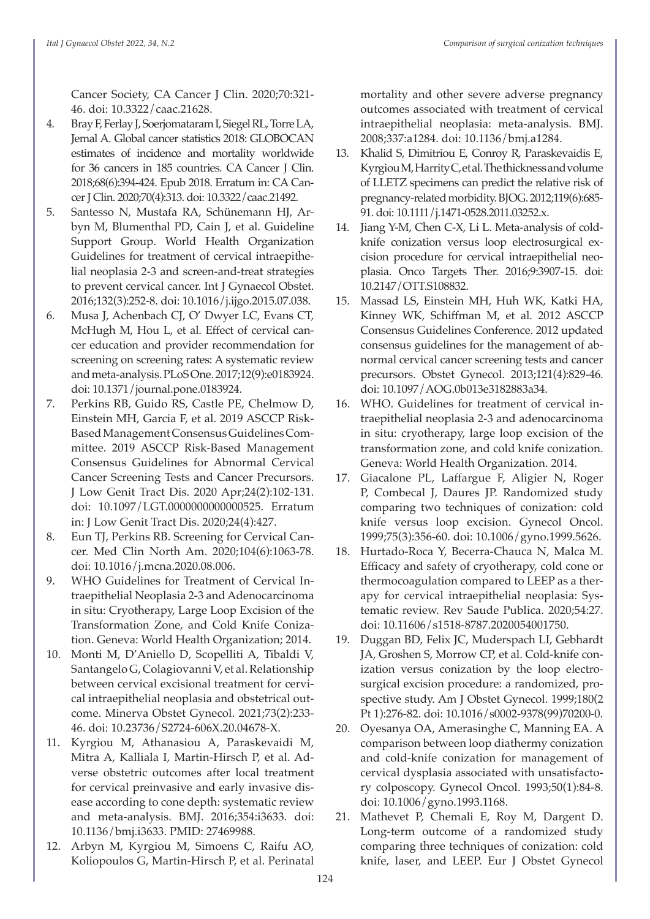Cancer Society, CA Cancer J Clin. 2020;70:321- 46. doi: 10.3322/caac.21628.

- 4. Bray F, Ferlay J, Soerjomataram I, Siegel RL, Torre LA, Jemal A. Global cancer statistics 2018: GLOBOCAN estimates of incidence and mortality worldwide for 36 cancers in 185 countries. CA Cancer J Clin. 2018;68(6):394-424. Epub 2018. Erratum in: CA Cancer J Clin. 2020;70(4):313. doi: 10.3322/caac.21492.
- 5. Santesso N, Mustafa RA, Schünemann HJ, Arbyn M, Blumenthal PD, Cain J, et al. Guideline Support Group. World Health Organization Guidelines for treatment of cervical intraepithelial neoplasia 2-3 and screen-and-treat strategies to prevent cervical cancer. Int J Gynaecol Obstet. 2016;132(3):252-8. doi: 10.1016/j.ijgo.2015.07.038.
- 6. Musa J, Achenbach CJ, O' Dwyer LC, Evans CT, McHugh M, Hou L, et al. Effect of cervical cancer education and provider recommendation for screening on screening rates: A systematic review and meta-analysis. PLoS One. 2017;12(9):e0183924. doi: 10.1371/journal.pone.0183924.
- 7. Perkins RB, Guido RS, Castle PE, Chelmow D, Einstein MH, Garcia F, et al. 2019 ASCCP Risk-Based Management Consensus Guidelines Committee. 2019 ASCCP Risk-Based Management Consensus Guidelines for Abnormal Cervical Cancer Screening Tests and Cancer Precursors. J Low Genit Tract Dis. 2020 Apr;24(2):102-131. doi: 10.1097/LGT.0000000000000525. Erratum in: J Low Genit Tract Dis. 2020;24(4):427.
- 8. Eun TJ, Perkins RB. Screening for Cervical Cancer. Med Clin North Am. 2020;104(6):1063-78. doi: 10.1016/j.mcna.2020.08.006.
- 9. WHO Guidelines for Treatment of Cervical Intraepithelial Neoplasia 2-3 and Adenocarcinoma in situ: Cryotherapy, Large Loop Excision of the Transformation Zone, and Cold Knife Conization. Geneva: World Health Organization; 2014.
- 10. Monti M, D'Aniello D, Scopelliti A, Tibaldi V, Santangelo G, Colagiovanni V, et al. Relationship between cervical excisional treatment for cervical intraepithelial neoplasia and obstetrical outcome. Minerva Obstet Gynecol. 2021;73(2):233- 46. doi: 10.23736/S2724-606X.20.04678-X.
- 11. Kyrgiou M, Athanasiou A, Paraskevaidi M, Mitra A, Kalliala I, Martin-Hirsch P, et al. Adverse obstetric outcomes after local treatment for cervical preinvasive and early invasive disease according to cone depth: systematic review and meta-analysis. BMJ. 2016;354:i3633. doi: 10.1136/bmj.i3633. PMID: 27469988.
- 12. Arbyn M, Kyrgiou M, Simoens C, Raifu AO, Koliopoulos G, Martin-Hirsch P, et al. Perinatal

mortality and other severe adverse pregnancy outcomes associated with treatment of cervical intraepithelial neoplasia: meta-analysis. BMJ. 2008;337:a1284. doi: 10.1136/bmj.a1284.

- 13. Khalid S, Dimitriou E, Conroy R, Paraskevaidis E, Kyrgiou M, Harrity C, et al. The thickness and volume of LLETZ specimens can predict the relative risk of pregnancy-related morbidity. BJOG. 2012;119(6):685- 91. doi: 10.1111/j.1471-0528.2011.03252.x.
- 14. Jiang Y-M, Chen C-X, Li L. Meta-analysis of coldknife conization versus loop electrosurgical excision procedure for cervical intraepithelial neoplasia. Onco Targets Ther. 2016;9:3907-15. doi: 10.2147/OTT.S108832.
- 15. Massad LS, Einstein MH, Huh WK, Katki HA, Kinney WK, Schiffman M, et al. 2012 ASCCP Consensus Guidelines Conference. 2012 updated consensus guidelines for the management of abnormal cervical cancer screening tests and cancer precursors. Obstet Gynecol. 2013;121(4):829-46. doi: 10.1097/AOG.0b013e3182883a34.
- 16. WHO. Guidelines for treatment of cervical intraepithelial neoplasia 2-3 and adenocarcinoma in situ: cryotherapy, large loop excision of the transformation zone, and cold knife conization. Geneva: World Health Organization. 2014.
- 17. Giacalone PL, Laffargue F, Aligier N, Roger P, Combecal J, Daures JP. Randomized study comparing two techniques of conization: cold knife versus loop excision. Gynecol Oncol. 1999;75(3):356-60. doi: 10.1006/gyno.1999.5626.
- 18. Hurtado-Roca Y, Becerra-Chauca N, Malca M. Efficacy and safety of cryotherapy, cold cone or thermocoagulation compared to LEEP as a therapy for cervical intraepithelial neoplasia: Systematic review. Rev Saude Publica. 2020;54:27. doi: 10.11606/s1518-8787.2020054001750.
- 19. Duggan BD, Felix JC, Muderspach LI, Gebhardt JA, Groshen S, Morrow CP, et al. Cold-knife conization versus conization by the loop electrosurgical excision procedure: a randomized, prospective study. Am J Obstet Gynecol. 1999;180(2 Pt 1):276-82. doi: 10.1016/s0002-9378(99)70200-0.
- 20. Oyesanya OA, Amerasinghe C, Manning EA. A comparison between loop diathermy conization and cold-knife conization for management of cervical dysplasia associated with unsatisfactory colposcopy. Gynecol Oncol. 1993;50(1):84-8. doi: 10.1006/gyno.1993.1168.
- 21. Mathevet P, Chemali E, Roy M, Dargent D. Long-term outcome of a randomized study comparing three techniques of conization: cold knife, laser, and LEEP. Eur J Obstet Gynecol